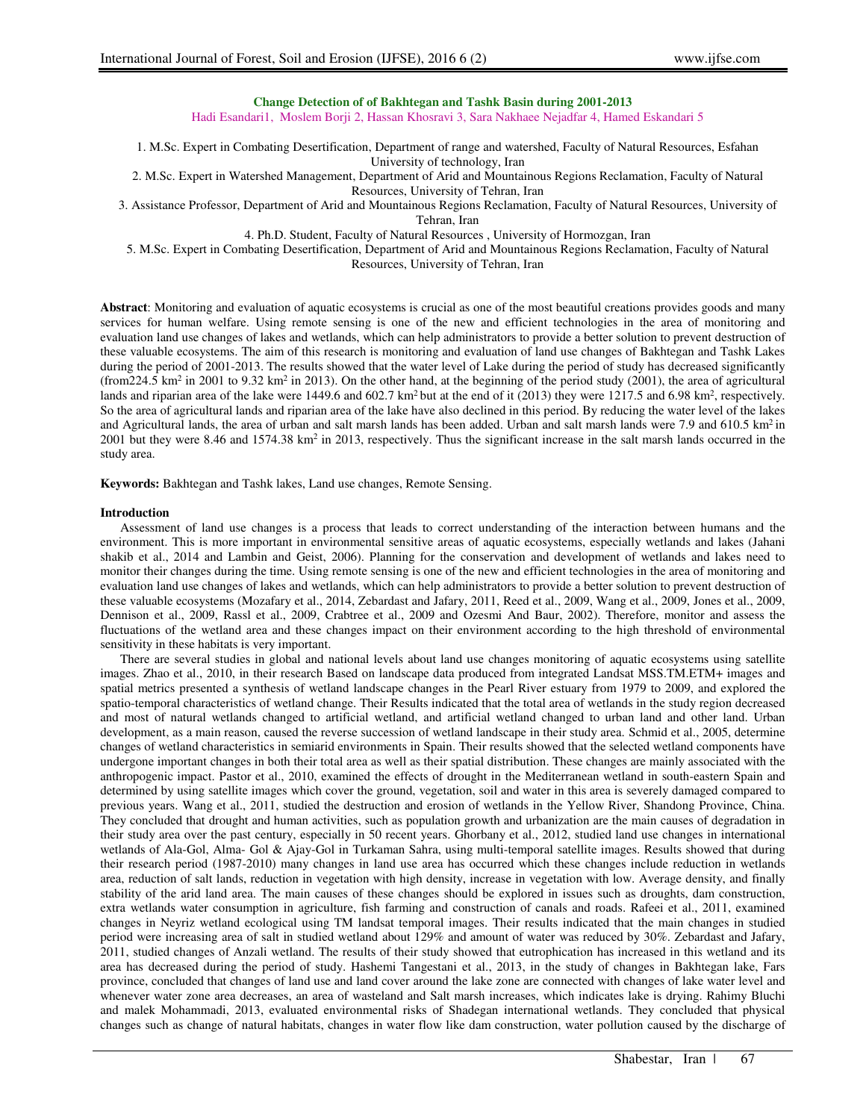# **Change Detection of of Bakhtegan and Tashk Basin during 2001-2013**

Hadi Esandari1, Moslem Borji 2, Hassan Khosravi 3, Sara Nakhaee Nejadfar 4, Hamed Eskandari 5

1. M.Sc. Expert in Combating Desertification, Department of range and watershed, Faculty of Natural Resources, Esfahan University of technology, Iran

2. M.Sc. Expert in Watershed Management, Department of Arid and Mountainous Regions Reclamation, Faculty of Natural Resources, University of Tehran, Iran

3. Assistance Professor, Department of Arid and Mountainous Regions Reclamation, Faculty of Natural Resources, University of Tehran, Iran

4. Ph.D. Student, Faculty of Natural Resources , University of Hormozgan, Iran

5. M.Sc. Expert in Combating Desertification, Department of Arid and Mountainous Regions Reclamation, Faculty of Natural

Resources, University of Tehran, Iran

**Abstract**: Monitoring and evaluation of aquatic ecosystems is crucial as one of the most beautiful creations provides goods and many services for human welfare. Using remote sensing is one of the new and efficient technologies in the area of monitoring and evaluation land use changes of lakes and wetlands, which can help administrators to provide a better solution to prevent destruction of these valuable ecosystems. The aim of this research is monitoring and evaluation of land use changes of Bakhtegan and Tashk Lakes during the period of 2001-2013. The results showed that the water level of Lake during the period of study has decreased significantly (from 224.5 km<sup>2</sup> in 2001 to 9.32 km<sup>2</sup> in 2013). On the other hand, at the beginning of the period study (2001), the area of agricultural lands and riparian area of the lake were 1449.6 and  $602.7 \text{ km}^2$  but at the end of it (2013) they were 1217.5 and 6.98 km<sup>2</sup>, respectively. So the area of agricultural lands and riparian area of the lake have also declined in this period. By reducing the water level of the lakes and Agricultural lands, the area of urban and salt marsh lands has been added. Urban and salt marsh lands were  $7.9$  and  $610.5 \text{ km}^2$  in 2001 but they were 8.46 and 1574.38 km<sup>2</sup> in 2013, respectively. Thus the significant increase in the salt marsh lands occurred in the study area.

**Keywords:** Bakhtegan and Tashk lakes, Land use changes, Remote Sensing.

### **Introduction**

Assessment of land use changes is a process that leads to correct understanding of the interaction between humans and the environment. This is more important in environmental sensitive areas of aquatic ecosystems, especially wetlands and lakes (Jahani shakib et al., 2014 and Lambin and Geist, 2006). Planning for the conservation and development of wetlands and lakes need to monitor their changes during the time. Using remote sensing is one of the new and efficient technologies in the area of monitoring and evaluation land use changes of lakes and wetlands, which can help administrators to provide a better solution to prevent destruction of these valuable ecosystems (Mozafary et al., 2014, Zebardast and Jafary, 2011, Reed et al., 2009, Wang et al., 2009, Jones et al., 2009, Dennison et al., 2009, Rassl et al., 2009, Crabtree et al., 2009 and Ozesmi And Baur, 2002). Therefore, monitor and assess the fluctuations of the wetland area and these changes impact on their environment according to the high threshold of environmental sensitivity in these habitats is very important.

There are several studies in global and national levels about land use changes monitoring of aquatic ecosystems using satellite images. Zhao et al., 2010, in their research Based on landscape data produced from integrated Landsat MSS.TM.ETM+ images and spatial metrics presented a synthesis of wetland landscape changes in the Pearl River estuary from 1979 to 2009, and explored the spatio-temporal characteristics of wetland change. Their Results indicated that the total area of wetlands in the study region decreased and most of natural wetlands changed to artificial wetland, and artificial wetland changed to urban land and other land. Urban development, as a main reason, caused the reverse succession of wetland landscape in their study area. Schmid et al., 2005, determine changes of wetland characteristics in semiarid environments in Spain. Their results showed that the selected wetland components have undergone important changes in both their total area as well as their spatial distribution. These changes are mainly associated with the anthropogenic impact. Pastor et al., 2010, examined the effects of drought in the Mediterranean wetland in south-eastern Spain and determined by using satellite images which cover the ground, vegetation, soil and water in this area is severely damaged compared to previous years. Wang et al., 2011, studied the destruction and erosion of wetlands in the Yellow River, Shandong Province, China. They concluded that drought and human activities, such as population growth and urbanization are the main causes of degradation in their study area over the past century, especially in 50 recent years. Ghorbany et al., 2012, studied land use changes in international wetlands of Ala-Gol, Alma- Gol & Ajay-Gol in Turkaman Sahra, using multi-temporal satellite images. Results showed that during their research period (1987-2010) many changes in land use area has occurred which these changes include reduction in wetlands area, reduction of salt lands, reduction in vegetation with high density, increase in vegetation with low. Average density, and finally stability of the arid land area. The main causes of these changes should be explored in issues such as droughts, dam construction, extra wetlands water consumption in agriculture, fish farming and construction of canals and roads. Rafeei et al., 2011, examined changes in Neyriz wetland ecological using TM landsat temporal images. Their results indicated that the main changes in studied period were increasing area of salt in studied wetland about 129% and amount of water was reduced by 30%. Zebardast and Jafary, 2011, studied changes of Anzali wetland. The results of their study showed that eutrophication has increased in this wetland and its area has decreased during the period of study. Hashemi Tangestani et al., 2013, in the study of changes in Bakhtegan lake, Fars province, concluded that changes of land use and land cover around the lake zone are connected with changes of lake water level and whenever water zone area decreases, an area of wasteland and Salt marsh increases, which indicates lake is drying. Rahimy Bluchi and malek Mohammadi, 2013, evaluated environmental risks of Shadegan international wetlands. They concluded that physical changes such as change of natural habitats, changes in water flow like dam construction, water pollution caused by the discharge of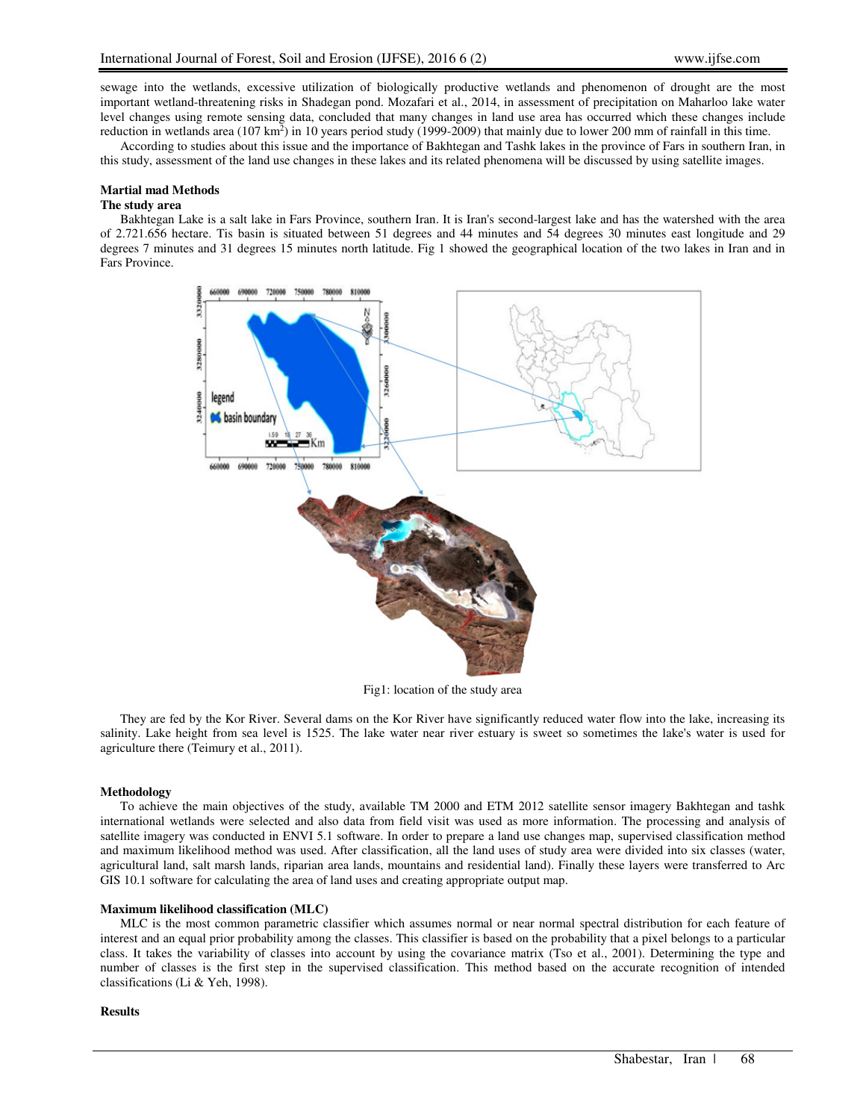sewage into the wetlands, excessive utilization of biologically productive wetlands and phenomenon of drought are the most important wetland-threatening risks in Shadegan pond. Mozafari et al., 2014, in assessment of precipitation on Maharloo lake water level changes using remote sensing data, concluded that many changes in land use area has occurred which these changes include reduction in wetlands area (107 km<sup>2</sup>) in 10 years period study (1999-2009) that mainly due to lower 200 mm of rainfall in this time.

According to studies about this issue and the importance of Bakhtegan and Tashk lakes in the province of Fars in southern Iran, in this study, assessment of the land use changes in these lakes and its related phenomena will be discussed by using satellite images.

### **Martial mad Methods**

#### **The study area**

Bakhtegan Lake is a salt lake in Fars Province, southern Iran. It is Iran's second-largest lake and has the watershed with the area of 2.721.656 hectare. Tis basin is situated between 51 degrees and 44 minutes and 54 degrees 30 minutes east longitude and 29 degrees 7 minutes and 31 degrees 15 minutes north latitude. Fig 1 showed the geographical location of the two lakes in Iran and in Fars Province.



Fig1: location of the study area

They are fed by the Kor River. Several dams on the Kor River have significantly reduced water flow into the lake, increasing its salinity. Lake height from sea level is 1525. The lake water near river estuary is sweet so sometimes the lake's water is used for agriculture there (Teimury et al., 2011).

# **Methodology**

To achieve the main objectives of the study, available TM 2000 and ETM 2012 satellite sensor imagery Bakhtegan and tashk international wetlands were selected and also data from field visit was used as more information. The processing and analysis of satellite imagery was conducted in ENVI 5.1 software. In order to prepare a land use changes map, supervised classification method and maximum likelihood method was used. After classification, all the land uses of study area were divided into six classes (water, agricultural land, salt marsh lands, riparian area lands, mountains and residential land). Finally these layers were transferred to Arc GIS 10.1 software for calculating the area of land uses and creating appropriate output map.

# **Maximum likelihood classification (MLC)**

MLC is the most common parametric classifier which assumes normal or near normal spectral distribution for each feature of interest and an equal prior probability among the classes. This classifier is based on the probability that a pixel belongs to a particular class. It takes the variability of classes into account by using the covariance matrix (Tso et al., 2001). Determining the type and number of classes is the first step in the supervised classification. This method based on the accurate recognition of intended classifications (Li & Yeh, 1998).

### **Results**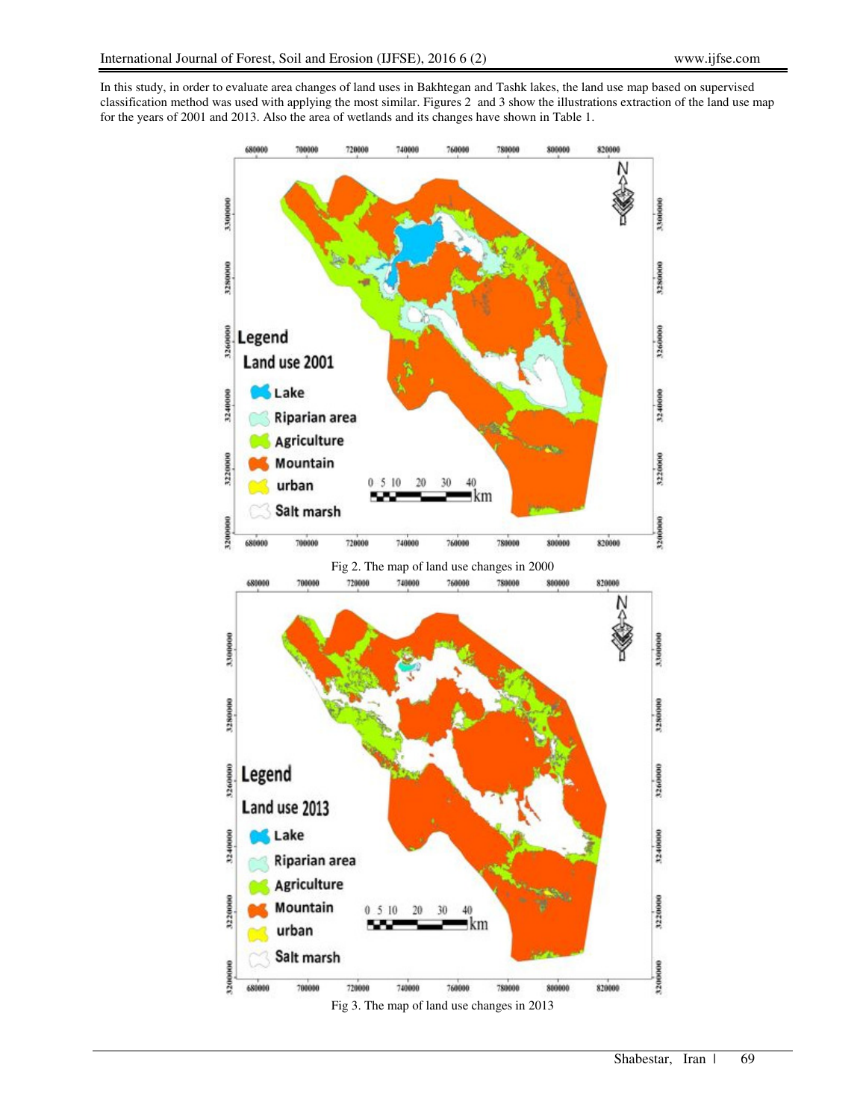In this study, in order to evaluate area changes of land uses in Bakhtegan and Tashk lakes, the land use map based on supervised classification method was used with applying the most similar. Figures 2 and 3 show the illustrations extraction of the land use map for the years of 2001 and 2013. Also the area of wetlands and its changes have shown in Table 1.

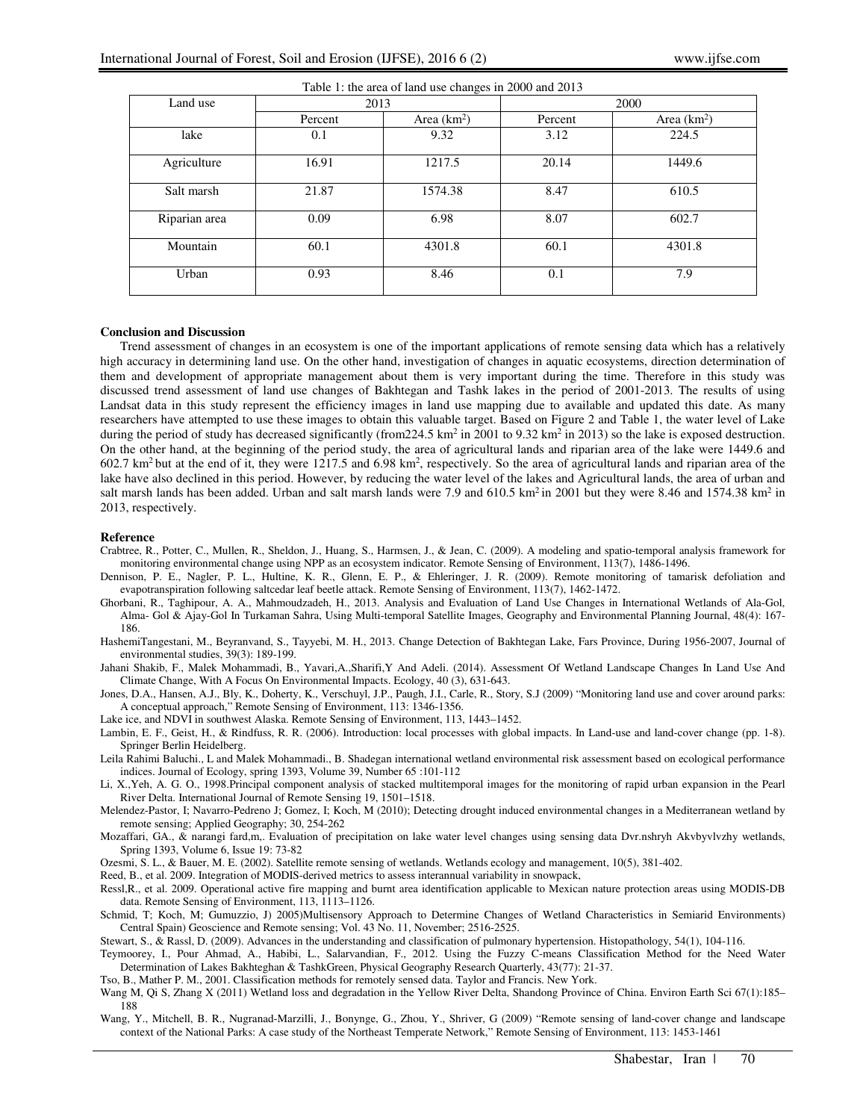| Table 1: the area of land use changes in 2000 and 2013 |         |               |         |               |
|--------------------------------------------------------|---------|---------------|---------|---------------|
| Land use                                               | 2013    |               | 2000    |               |
|                                                        | Percent | Area $(km^2)$ | Percent | Area $(km^2)$ |
| lake                                                   | 0.1     | 9.32          | 3.12    | 224.5         |
| Agriculture                                            | 16.91   | 1217.5        | 20.14   | 1449.6        |
| Salt marsh                                             | 21.87   | 1574.38       | 8.47    | 610.5         |
| Riparian area                                          | 0.09    | 6.98          | 8.07    | 602.7         |
| Mountain                                               | 60.1    | 4301.8        | 60.1    | 4301.8        |
| Urban                                                  | 0.93    | 8.46          | 0.1     | 7.9           |

### **Conclusion and Discussion**

Trend assessment of changes in an ecosystem is one of the important applications of remote sensing data which has a relatively high accuracy in determining land use. On the other hand, investigation of changes in aquatic ecosystems, direction determination of them and development of appropriate management about them is very important during the time. Therefore in this study was discussed trend assessment of land use changes of Bakhtegan and Tashk lakes in the period of 2001-2013. The results of using Landsat data in this study represent the efficiency images in land use mapping due to available and updated this date. As many researchers have attempted to use these images to obtain this valuable target. Based on Figure 2 and Table 1, the water level of Lake during the period of study has decreased significantly (from  $224.5 \text{ km}^2$  in  $2001$  to  $9.32 \text{ km}^2$  in  $2013$ ) so the lake is exposed destruction. On the other hand, at the beginning of the period study, the area of agricultural lands and riparian area of the lake were 1449.6 and  $602.7 \text{ km}^2$  but at the end of it, they were 1217.5 and  $6.98 \text{ km}^2$ , respectively. So the area of agricultural lands and riparian area of the lake have also declined in this period. However, by reducing the water level of the lakes and Agricultural lands, the area of urban and salt marsh lands has been added. Urban and salt marsh lands were 7.9 and 610.5 km<sup>2</sup> in 2001 but they were 8.46 and 1574.38 km<sup>2</sup> in 2013, respectively.

### **Reference**

- Crabtree, R., Potter, C., Mullen, R., Sheldon, J., Huang, S., Harmsen, J., & Jean, C. (2009). A modeling and spatio-temporal analysis framework for monitoring environmental change using NPP as an ecosystem indicator. Remote Sensing of Environment, 113(7), 1486-1496.
- Dennison, P. E., Nagler, P. L., Hultine, K. R., Glenn, E. P., & Ehleringer, J. R. (2009). Remote monitoring of tamarisk defoliation and evapotranspiration following saltcedar leaf beetle attack. Remote Sensing of Environment, 113(7), 1462-1472.
- Ghorbani, R., Taghipour, A. A., Mahmoudzadeh, H., 2013. Analysis and Evaluation of Land Use Changes in International Wetlands of Ala-Gol, Alma- Gol & Ajay-Gol In Turkaman Sahra, Using Multi-temporal Satellite Images, Geography and Environmental Planning Journal, 48(4): 167- 186.
- HashemiTangestani, M., Beyranvand, S., Tayyebi, M. H., 2013. Change Detection of Bakhtegan Lake, Fars Province, During 1956-2007, Journal of environmental studies, 39(3): 189-199.
- Jahani Shakib, F., Malek Mohammadi, B., Yavari,A.,Sharifi,Y And Adeli. (2014). Assessment Of Wetland Landscape Changes In Land Use And Climate Change, With A Focus On Environmental Impacts. Ecology, 40 (3), 631-643.
- Jones, D.A., Hansen, A.J., Bly, K., Doherty, K., Verschuyl, J.P., Paugh, J.I., Carle, R., Story, S.J (2009) "Monitoring land use and cover around parks: A conceptual approach," Remote Sensing of Environment, 113: 1346-1356.

Lake ice, and NDVI in southwest Alaska. Remote Sensing of Environment, 113, 1443–1452.

- Lambin, E. F., Geist, H., & Rindfuss, R. R. (2006). Introduction: local processes with global impacts. In Land-use and land-cover change (pp. 1-8). Springer Berlin Heidelberg.
- Leila Rahimi Baluchi., L and Malek Mohammadi., B. Shadegan international wetland environmental risk assessment based on ecological performance indices. Journal of Ecology, spring 1393, Volume 39, Number 65 :101-112
- Li, X.,Yeh, A. G. O., 1998.Principal component analysis of stacked multitemporal images for the monitoring of rapid urban expansion in the Pearl River Delta. International Journal of Remote Sensing 19, 1501–1518.
- Melendez-Pastor, I; Navarro-Pedreno J; Gomez, I; Koch, M (2010); Detecting drought induced environmental changes in a Mediterranean wetland by remote sensing; Applied Geography; 30, 254-262
- Mozaffari, GA., & narangi fard,m,. Evaluation of precipitation on lake water level changes using sensing data Dvr.nshryh Akvbyvlvzhy wetlands, Spring 1393, Volume 6, Issue 19: 73-82

Ozesmi, S. L., & Bauer, M. E. (2002). Satellite remote sensing of wetlands. Wetlands ecology and management, 10(5), 381-402.

- Reed, B., et al. 2009. Integration of MODIS-derived metrics to assess interannual variability in snowpack,
- Ressl,R., et al. 2009. Operational active fire mapping and burnt area identification applicable to Mexican nature protection areas using MODIS-DB data. Remote Sensing of Environment, 113, 1113–1126.
- Schmid, T; Koch, M; Gumuzzio, J) 2005)Multisensory Approach to Determine Changes of Wetland Characteristics in Semiarid Environments) Central Spain) Geoscience and Remote sensing; Vol. 43 No. 11, November; 2516-2525.

Stewart, S., & Rassl, D. (2009). Advances in the understanding and classification of pulmonary hypertension. Histopathology, 54(1), 104-116.

- Teymoorey, I., Pour Ahmad, A., Habibi, L., Salarvandian, F., 2012. Using the Fuzzy C-means Classification Method for the Need Water Determination of Lakes Bakhteghan & TashkGreen, Physical Geography Research Quarterly, 43(77): 21-37.
- Tso, B., Mather P. M., 2001. Classification methods for remotely sensed data. Taylor and Francis. New York.

Wang M, Qi S, Zhang X (2011) Wetland loss and degradation in the Yellow River Delta, Shandong Province of China. Environ Earth Sci 67(1):185– 188

Wang, Y., Mitchell, B. R., Nugranad-Marzilli, J., Bonynge, G., Zhou, Y., Shriver, G (2009) "Remote sensing of land-cover change and landscape context of the National Parks: A case study of the Northeast Temperate Network," Remote Sensing of Environment, 113: 1453-1461